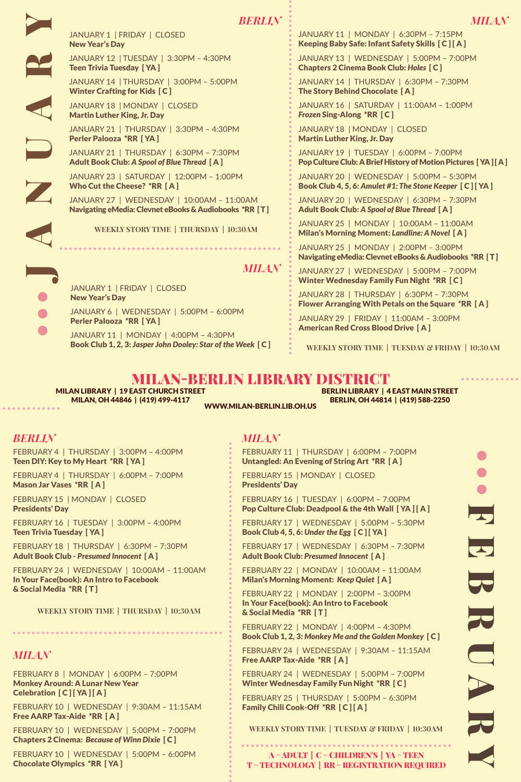JANUARY 1 | FRIDAY | CLOSED<br>
New Year's Day<br>
JANUARY 12 | TUESDAY | 3:30<br>
Teen Trivia Tuesday [YA]<br>
JANUARY 14 | THURSDAY | 3:0<br>
Winter Crafting for Kids [C]<br>
JANUARY 18 | MONDAY | CLOS<br>
Martin Luther King, Jr. Day<br>
JANUAR New Year's Day

JANUARY 12 | TUESDAY | 3:30PM – 4:30PM Teen Trivia Tuesday [ YA ]

JANUARY 14 | THURSDAY | 3:00PM – 5:00PM

JANUARY 18 | MONDAY | CLOSED Martin Luther King, Jr. Day

JANUARY 21 | THURSDAY | 3:30PM – 4:30PM Perler Palooza \*RR [ YA ]

JANUARY 21 | THURSDAY | 6:30PM – 7:30PM

JANUARY 23 | SATURDAY | 12:00PM – 1:00PM Who Cut the Cheese? \*RR [ A ]

JANUARY 27 | WEDNESDAY | 10:00AM – 11:00AM Navigating eMedia: Clevnet eBooks & Audiobooks \*RR [ T ]

<code>WEEKLY</code> STORY <code>TIME</code> | <code>THURSDAY</code> | 10:30AM

JANUARY 19 | TUESDAY | 6:00PM – 7:00PM Pop Culture Club: A Brief History of Motion Pictures [YA ] [A ]

JANUARY 20 | WEDNESDAY | 5:00PM – 5:30PM Book Club 4, 5, 6: *Amulet #1: The Stone Keeper* [ C ] [ YA ]

JANUARY 20 | WEDNESDAY | 6:30PM – 7:30PM Adult Book Club: *A Spool of Blue Thread* [ A ]

JANUARY 11 | MONDAY | 6:30PM – 7:15PM Keeping Baby Safe: Infant Safety Skills [ C ] [ A ] JANUARY 13 | WEDNESDAY | 5:00PM – 7:00PM Chapters 2 Cinema Book Club: *Holes* [ C ] JANUARY 14 | THURSDAY | 6:30PM – 7:30PM

JANUARY 16 | SATURDAY | 11:00AM – 1:00PM

The Story Behind Chocolate [ A ]

*Frozen* Sing-Along \*RR [ C ] JANUARY 18 | MONDAY | CLOSED Martin Luther King, Jr. Day

JANUARY 25 | MONDAY | 10:00AM – 11:00AM Milan's Morning Moment: *Landline: A Novel* [ A ]

JANUARY 25 | MONDAY | 2:00PM – 3:00PM Navigating eMedia: Clevnet eBooks & Audiobooks \*RR [ T ]

JANUARY 27 | WEDNESDAY | 5:00PM – 7:00PM Winter Wednesday Family Fun Night \*RR [ C ]

JANUARY 28 | THURSDAY | 6:30PM – 7:30PM Flower Arranging With Petals on the Square \*RR [ A ]

JANUARY 29 | FRIDAY | 11:00AM – 3:00PM American Red Cross Blood Drive [ A ]

**WEEKLY STORY TIME | TUESDAY & FRIDAY | 10:30AM** 

### MILAN-BERLIN LIBRARY DISTRICT Berlin Library | 4 East Main Street

*Milan*

Milan Library | 19 East Church Street Milan, OH 44846 | (419) 499-4117

JANUARY 1 | FRIDAY | CLOSED

Perler Palooza \*RR [ YA ]

New Year's Day

Berlin, OH 44814 | (419) 588-2250 www.milan-berlin.lib.oh.us

# *Berlin*

FEBRUARY 4 | THURSDAY | 3:00PM – 4:00PM Teen DIY: Key to My Heart \*RR [ YA ]

FEBRUARY 4 | THURSDAY | 6:00PM – 7:00PM Mason Jar Vases \*RR [ A ]

FEBRUARY 15 | MONDAY | CLOSED Presidents' Day

FEBRUARY 16 | TUESDAY | 3:00PM – 4:00PM Teen Trivia Tuesday [ YA ]

FEBRUARY 18 | THURSDAY | 6:30PM – 7:30PM Adult Book Club - *Presumed Innocent* [ A ]

FEBRUARY 24 | WEDNESDAY | 10:00AM – 11:00AM In Your Face(book): An Intro to Facebook & Social Media \*RR [ T ]

<code>WEEKLY</code> STORY <code>TIME</code> | <code>THURSDAY</code> | 10:30AM 

# *Milan*

FEBRUARY 8 | MONDAY | 6:00PM – 7:00PM Monkey Around: A Lunar New Year Celebration [ C ] [ YA ] [ A ]

FEBRUARY 10 | WEDNESDAY | 9:30AM – 11:15AM Free AARP Tax-Aide \*RR [ A ]

FEBRUARY 10 | WEDNESDAY | 5:00PM – 7:00PM Chapters 2 Cinema: *Because of Winn Dixie* [ C ]

FEBRUARY 10 | WEDNESDAY | 5:00PM – 6:00PM Chocolate Olympics \*RR [ YA ]

## *Milan*

FEBRUARY 11 | THURSDAY | 6:00PM – 7:00PM Untangled: An Evening of String Art \*RR [ A ]

FEBRUARY 15 | MONDAY | CLOSED Presidents' Day

FEBRUARY 16 | TUESDAY | 6:00PM – 7:00PM Pop Culture Club: Deadpool & the 4th Wall [ YA ] [ A ]

FEBRUARY 17 | WEDNESDAY | 5:00PM – 5:30PM Book Club 4, 5, 6: Under the Egg [ C ] [ YA ]

FEBRUARY 17 | WEDNESDAY | 6:30PM – 7:30PM Adult Book Club: *Presumed Innocent* [ A ]

FEBRUARY 22 | MONDAY | 10:00AM – 11:00AM Milan's Morning Moment: *Keep Quiet* [ A ]

FEBRUARY 22 | MONDAY | 2:00PM – 3:00PM In Your Face(book): An Intro to Facebook & Social Media \*RR [ T ]

FEBRUARY 22 | MONDAY | 4:00PM – 4:30PM Book Club 1, 2, 3: *Monkey Me and the Golden Monkey* [ C ]

FEBRUARY 24 | WEDNESDAY | 9:30AM – 11:15AM Free AARP Tax-Aide \*RR [ A ]

FEBRUARY 24 | WEDNESDAY | 5:00PM – 7:00PM Winter Wednesday Family Fun Night \*RR [ C ]

FEBRUARY 25 | THURSDAY | 5:00PM – 6:30PM Family Chili Cook-Off \*RR [C][A]

**Weekly Story Time | Tue sday & FRIDAY | 10:30AM** 

A = ADULT | C = CHILDREN'S | YA = TEE n T = TECHNOLOGY | RR = REGISTRATION REQUIRED l u  $\overline{\mathbf{z}}$  $\overline{\mathbf{v}}$  $\overline{\mathbf{S}}$  $\overline{\mathbf{z}}$ U A $\overline{\mathbf{z}}$ 

Y

Winter Crafting for Kids [ C ]

Adult Book Club: *A Spool of Blue Thread* [ A ]

JANUARY 6 | WEDNESDAY | 5:00PM – 6:00PM

JANUARY 11 | MONDAY | 4:00PM – 4:30PM Book Club 1, 2, 3: *Jasper John Dooley: Star of the Week* [ C ]